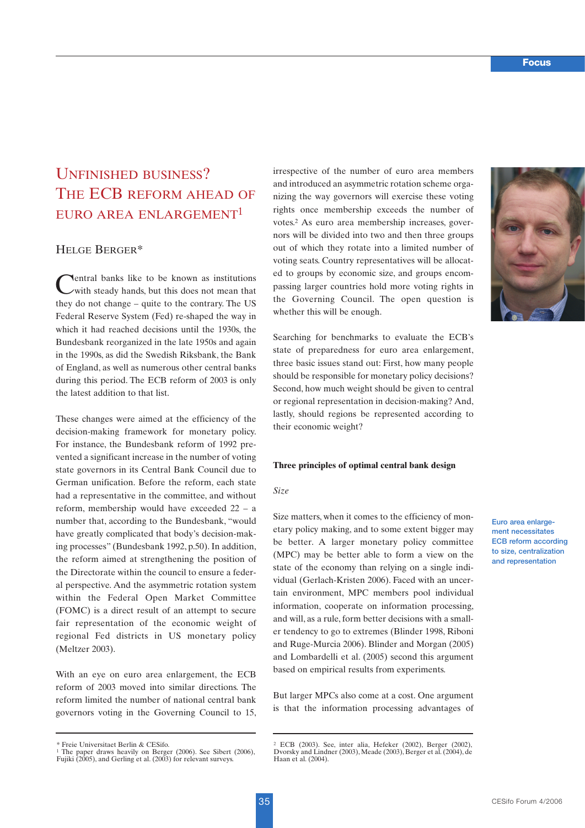# UNFINISHED BUSINESS? THE ECB REFORM AHEAD OF EURO AREA ENLARGEMENT1

# HELGE BERGER\*

Central banks like to be known as institutions with steady hands, but this does not mean that they do not change – quite to the contrary. The US Federal Reserve System (Fed) re-shaped the way in which it had reached decisions until the 1930s, the Bundesbank reorganized in the late 1950s and again in the 1990s, as did the Swedish Riksbank, the Bank of England, as well as numerous other central banks during this period. The ECB reform of 2003 is only the latest addition to that list.

These changes were aimed at the efficiency of the decision-making framework for monetary policy. For instance, the Bundesbank reform of 1992 prevented a significant increase in the number of voting state governors in its Central Bank Council due to German unification. Before the reform, each state had a representative in the committee, and without reform, membership would have exceeded 22 – a number that, according to the Bundesbank, "would have greatly complicated that body's decision-making processes" (Bundesbank 1992, p.50). In addition, the reform aimed at strengthening the position of the Directorate within the council to ensure a federal perspective. And the asymmetric rotation system within the Federal Open Market Committee (FOMC) is a direct result of an attempt to secure fair representation of the economic weight of regional Fed districts in US monetary policy (Meltzer 2003).

With an eye on euro area enlargement, the ECB reform of 2003 moved into similar directions. The reform limited the number of national central bank governors voting in the Governing Council to 15, irrespective of the number of euro area members and introduced an asymmetric rotation scheme organizing the way governors will exercise these voting rights once membership exceeds the number of votes.2 As euro area membership increases, governors will be divided into two and then three groups out of which they rotate into a limited number of voting seats. Country representatives will be allocated to groups by economic size, and groups encompassing larger countries hold more voting rights in the Governing Council. The open question is whether this will be enough.

Searching for benchmarks to evaluate the ECB's state of preparedness for euro area enlargement, three basic issues stand out: First, how many people should be responsible for monetary policy decisions? Second, how much weight should be given to central or regional representation in decision-making? And, lastly, should regions be represented according to their economic weight?

#### **Three principles of optimal central bank design**

## *Size*

Size matters, when it comes to the efficiency of monetary policy making, and to some extent bigger may be better. A larger monetary policy committee (MPC) may be better able to form a view on the state of the economy than relying on a single individual (Gerlach-Kristen 2006). Faced with an uncertain environment, MPC members pool individual information, cooperate on information processing, and will, as a rule, form better decisions with a smaller tendency to go to extremes (Blinder 1998, Riboni and Ruge-Murcia 2006). Blinder and Morgan (2005) and Lombardelli et al. (2005) second this argument based on empirical results from experiments.

But larger MPCs also come at a cost. One argument is that the information processing advantages of



**Euro area enlargement necessitates ECB reform according to size, centralization and representation**

<sup>\*</sup> Freie Universitaet Berlin & CESifo.

<sup>1</sup> The paper draws heavily on Berger (2006). See Sibert (2006), Fujiki (2005), and Gerling et al. (2003) for relevant surveys.

<sup>2</sup> ECB (2003). See, inter alia, Hefeker (2002), Berger (2002), Dvorsky and Lindner (2003), Meade (2003), Berger et al. (2004), de Haan et al. (2004).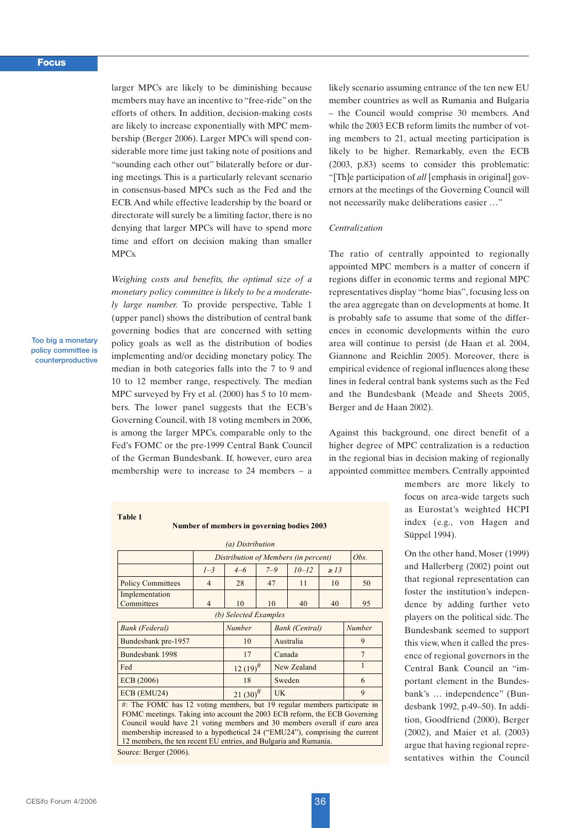larger MPCs are likely to be diminishing because members may have an incentive to "free-ride" on the efforts of others. In addition, decision-making costs are likely to increase exponentially with MPC membership (Berger 2006). Larger MPCs will spend considerable more time just taking note of positions and "sounding each other out" bilaterally before or during meetings. This is a particularly relevant scenario in consensus-based MPCs such as the Fed and the ECB. And while effective leadership by the board or directorate will surely be a limiting factor, there is no denying that larger MPCs will have to spend more time and effort on decision making than smaller MPCs.

*Weighing costs and benefits, the optimal size of a monetary policy committee is likely to be a moderately large number.* To provide perspective, Table 1 (upper panel) shows the distribution of central bank governing bodies that are concerned with setting policy goals as well as the distribution of bodies implementing and/or deciding monetary policy. The median in both categories falls into the 7 to 9 and 10 to 12 member range, respectively. The median MPC surveyed by Fry et al. (2000) has 5 to 10 members. The lower panel suggests that the ECB's Governing Council, with 18 voting members in 2006, is among the larger MPCs, comparable only to the Fed's FOMC or the pre-1999 Central Bank Council of the German Bundesbank. If, however, euro area membership were to increase to 24 members – a

## **Table 1**

#### **Number of members in governing bodies 2003**

| (a) Distribution                                                                                                                                                                                                                                                                                                                                                                     |                                      |               |            |             |                       |           |        |    |  |
|--------------------------------------------------------------------------------------------------------------------------------------------------------------------------------------------------------------------------------------------------------------------------------------------------------------------------------------------------------------------------------------|--------------------------------------|---------------|------------|-------------|-----------------------|-----------|--------|----|--|
|                                                                                                                                                                                                                                                                                                                                                                                      | Distribution of Members (in percent) |               |            |             |                       |           | Obs.   |    |  |
|                                                                                                                                                                                                                                                                                                                                                                                      | $1 - 3$                              | $4 - 6$       |            | $7 - 9$     | $10 - 12$             | $\geq 13$ |        |    |  |
| <b>Policy Committees</b>                                                                                                                                                                                                                                                                                                                                                             | $\overline{4}$                       | 28            |            | 47          | 11                    | 10        |        | 50 |  |
| Implementation<br>Committees                                                                                                                                                                                                                                                                                                                                                         | $\overline{4}$                       | 10            |            | 10          | 40                    | 40        |        | 95 |  |
| (b) Selected Examples                                                                                                                                                                                                                                                                                                                                                                |                                      |               |            |             |                       |           |        |    |  |
| <b>Bank</b> (Federal)                                                                                                                                                                                                                                                                                                                                                                |                                      | Number        |            |             | <b>Bank</b> (Central) |           | Number |    |  |
| Bundesbank pre-1957                                                                                                                                                                                                                                                                                                                                                                  |                                      | 10            |            |             | Australia             |           | 9      |    |  |
| Bundesbank 1998                                                                                                                                                                                                                                                                                                                                                                      |                                      | 17            |            |             | Canada                |           | 7      |    |  |
| Fed                                                                                                                                                                                                                                                                                                                                                                                  |                                      | $12(19)^{\#}$ |            | New Zealand |                       |           |        |    |  |
| ECB (2006)                                                                                                                                                                                                                                                                                                                                                                           |                                      | 18            |            |             | Sweden                |           |        | 6  |  |
| ECB (EMU24)                                                                                                                                                                                                                                                                                                                                                                          | $21(30)^{\#}$                        |               | <b>IIK</b> |             |                       |           | 9      |    |  |
| #: The FOMC has 12 voting members, but 19 regular members participate in<br>FOMC meetings. Taking into account the 2003 ECB reform, the ECB Governing<br>Council would have 21 voting members and 30 members overall if euro area<br>membership increased to a hypothetical 24 ("EMU24"), comprising the current<br>12 members, the ten recent EU entries, and Bulgaria and Rumania. |                                      |               |            |             |                       |           |        |    |  |
| Source: Berger (2006).                                                                                                                                                                                                                                                                                                                                                               |                                      |               |            |             |                       |           |        |    |  |

likely scenario assuming entrance of the ten new EU member countries as well as Rumania and Bulgaria – the Council would comprise 30 members. And while the 2003 ECB reform limits the number of voting members to 21, actual meeting participation is likely to be higher. Remarkably, even the ECB (2003, p.83) seems to consider this problematic: "[Th]e participation of *all* [emphasis in original] governors at the meetings of the Governing Council will not necessarily make deliberations easier …"

#### *Centralization*

The ratio of centrally appointed to regionally appointed MPC members is a matter of concern if regions differ in economic terms and regional MPC representatives display "home bias", focusing less on the area aggregate than on developments at home. It is probably safe to assume that some of the differences in economic developments within the euro area will continue to persist (de Haan et al. 2004, Giannone and Reichlin 2005). Moreover, there is empirical evidence of regional influences along these lines in federal central bank systems such as the Fed and the Bundesbank (Meade and Sheets 2005, Berger and de Haan 2002).

Against this background, one direct benefit of a higher degree of MPC centralization is a reduction in the regional bias in decision making of regionally appointed committee members. Centrally appointed

> members are more likely to focus on area-wide targets such as Eurostat's weighted HCPI index (e.g., von Hagen and Süppel 1994).

> On the other hand, Moser (1999) and Hallerberg (2002) point out that regional representation can foster the institution's independence by adding further veto players on the political side. The Bundesbank seemed to support this view, when it called the presence of regional governors in the Central Bank Council an "important element in the Bundesbank's … independence" (Bundesbank 1992, p.49–50). In addition, Goodfriend (2000), Berger (2002), and Maier et al. (2003) argue that having regional representatives within the Council

**Too big a monetary policy committee is counterproductive**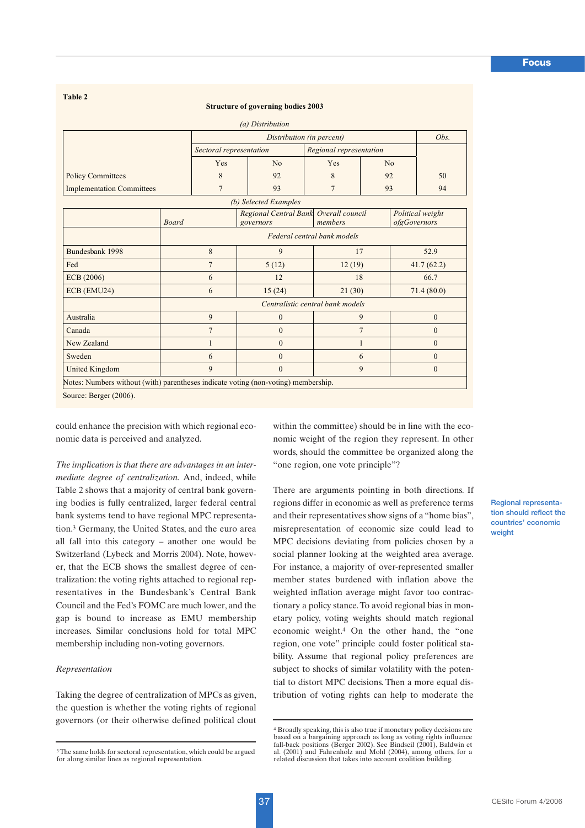**Table 2**

#### **Structure of governing bodies 2003**

|                                  |                |                             | (a) Distribution                                   |                                  |                |          |                                  |  |  |
|----------------------------------|----------------|-----------------------------|----------------------------------------------------|----------------------------------|----------------|----------|----------------------------------|--|--|
|                                  |                | Distribution (in percent)   |                                                    |                                  |                |          |                                  |  |  |
|                                  |                | Sectoral representation     |                                                    | Regional representation          |                |          |                                  |  |  |
|                                  |                | Yes                         | No                                                 | Yes                              | No             |          |                                  |  |  |
| <b>Policy Committees</b>         |                | 8                           | 92                                                 | 8                                | 92             |          | 50                               |  |  |
| <b>Implementation Committees</b> |                | $\overline{7}$              | 93                                                 | $\overline{7}$                   | 93             |          | 94                               |  |  |
|                                  |                |                             | (b) Selected Examples                              |                                  |                |          |                                  |  |  |
|                                  | <b>Board</b>   |                             | Regional Central Bank Overall council<br>governors | members                          |                |          | Political weight<br>ofgGovernors |  |  |
|                                  |                | Federal central bank models |                                                    |                                  |                |          |                                  |  |  |
| Bundesbank 1998                  | 8              |                             | 9                                                  |                                  | 17             |          | 52.9                             |  |  |
| Fed                              | $\overline{7}$ |                             | 5(12)                                              |                                  | 12(19)         |          | 41.7(62.2)                       |  |  |
| ECB(2006)                        | 6              |                             | 12                                                 |                                  | 18             |          | 66.7                             |  |  |
| ECB (EMU24)                      | 6              |                             | 15(24)                                             |                                  | 21(30)         |          | 71.4(80.0)                       |  |  |
|                                  |                |                             |                                                    | Centralistic central bank models |                |          |                                  |  |  |
| Australia                        | 9              |                             | $\mathbf{0}$                                       |                                  | 9              | $\theta$ |                                  |  |  |
| Canada                           | $\overline{7}$ |                             | $\mathbf{0}$                                       |                                  | $\overline{7}$ | $\theta$ |                                  |  |  |
| New Zealand                      | 1              |                             | $\mathbf{0}$                                       |                                  | 1              |          | $\mathbf{0}$                     |  |  |
| Sweden                           | 6              |                             | $\theta$                                           | 6                                |                | $\theta$ |                                  |  |  |
|                                  | 9              |                             | $\theta$                                           |                                  | 9              |          | $\mathbf{0}$                     |  |  |

could enhance the precision with which regional economic data is perceived and analyzed.

*The implication is that there are advantages in an intermediate degree of centralization.* And, indeed, while Table 2 shows that a majority of central bank governing bodies is fully centralized, larger federal central bank systems tend to have regional MPC representation.3 Germany, the United States, and the euro area all fall into this category – another one would be Switzerland (Lybeck and Morris 2004). Note, however, that the ECB shows the smallest degree of centralization: the voting rights attached to regional representatives in the Bundesbank's Central Bank Council and the Fed's FOMC are much lower, and the gap is bound to increase as EMU membership increases. Similar conclusions hold for total MPC membership including non-voting governors.

## *Representation*

Taking the degree of centralization of MPCs as given, the question is whether the voting rights of regional governors (or their otherwise defined political clout within the committee) should be in line with the economic weight of the region they represent. In other words, should the committee be organized along the "one region, one vote principle"?

There are arguments pointing in both directions. If regions differ in economic as well as preference terms and their representatives show signs of a "home bias", misrepresentation of economic size could lead to MPC decisions deviating from policies chosen by a social planner looking at the weighted area average. For instance, a majority of over-represented smaller member states burdened with inflation above the weighted inflation average might favor too contractionary a policy stance. To avoid regional bias in monetary policy, voting weights should match regional economic weight.4 On the other hand, the "one region, one vote" principle could foster political stability. Assume that regional policy preferences are subject to shocks of similar volatility with the potential to distort MPC decisions. Then a more equal distribution of voting rights can help to moderate the

**Regional representation should reflect the countries' economic weight**

<sup>3</sup>The same holds for sectoral representation, which could be argued for along similar lines as regional representation.

<sup>4</sup> Broadly speaking, this is also true if monetary policy decisions are based on a bargaining approach as long as voting rights influence fall-back positions (Berger 2002). See Bindseil (2001), Baldwin et al. (2001) and Fahrenholz and Mohl (2004), among others, for a related discussion that takes into account coalition building.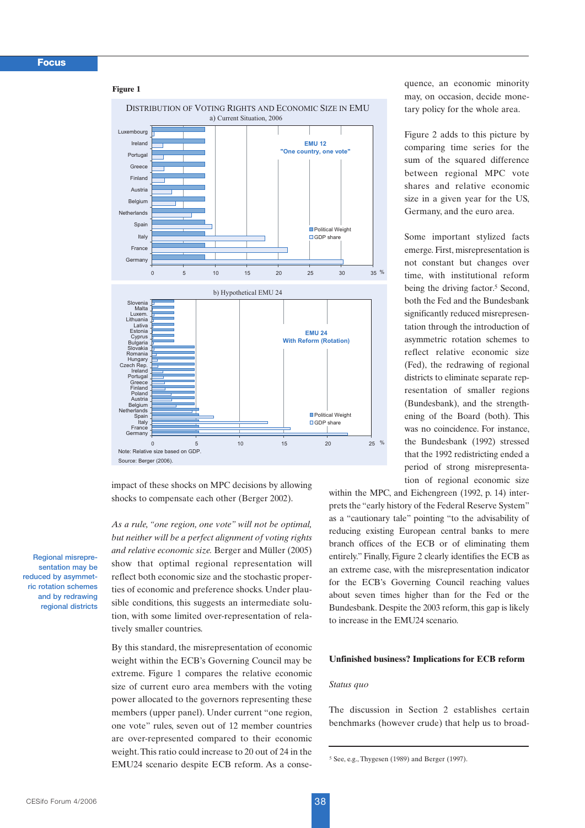## **Figure 1**



impact of these shocks on MPC decisions by allowing shocks to compensate each other (Berger 2002).

*As a rule, "one region, one vote" will not be optimal, but neither will be a perfect alignment of voting rights and relative economic size.* Berger and Müller (2005) show that optimal regional representation will reflect both economic size and the stochastic properties of economic and preference shocks. Under plausible conditions, this suggests an intermediate solution, with some limited over-representation of relatively smaller countries.

By this standard, the misrepresentation of economic weight within the ECB's Governing Council may be extreme. Figure 1 compares the relative economic size of current euro area members with the voting power allocated to the governors representing these members (upper panel). Under current "one region, one vote" rules, seven out of 12 member countries are over-represented compared to their economic weight.This ratio could increase to 20 out of 24 in the EMU24 scenario despite ECB reform. As a consequence, an economic minority may, on occasion, decide monetary policy for the whole area.

Figure 2 adds to this picture by comparing time series for the sum of the squared difference between regional MPC vote shares and relative economic size in a given year for the US, Germany, and the euro area.

Some important stylized facts emerge. First, misrepresentation is not constant but changes over time, with institutional reform being the driving factor.<sup>5</sup> Second, both the Fed and the Bundesbank significantly reduced misrepresentation through the introduction of asymmetric rotation schemes to reflect relative economic size (Fed), the redrawing of regional districts to eliminate separate representation of smaller regions (Bundesbank), and the strengthening of the Board (both). This was no coincidence. For instance, the Bundesbank (1992) stressed that the 1992 redistricting ended a period of strong misrepresentation of regional economic size

within the MPC, and Eichengreen (1992, p. 14) interprets the "early history of the Federal Reserve System" as a "cautionary tale" pointing "to the advisability of reducing existing European central banks to mere branch offices of the ECB or of eliminating them entirely." Finally, Figure 2 clearly identifies the ECB as an extreme case, with the misrepresentation indicator for the ECB's Governing Council reaching values about seven times higher than for the Fed or the Bundesbank. Despite the 2003 reform, this gap is likely to increase in the EMU24 scenario.

## **Unfinished business? Implications for ECB reform**

## *Status quo*

The discussion in Section 2 establishes certain benchmarks (however crude) that help us to broad-

**Regional misrepresentation may be reduced by asymmetric rotation schemes and by redrawing regional districts**

<sup>5</sup> See, e.g., Thygesen (1989) and Berger (1997).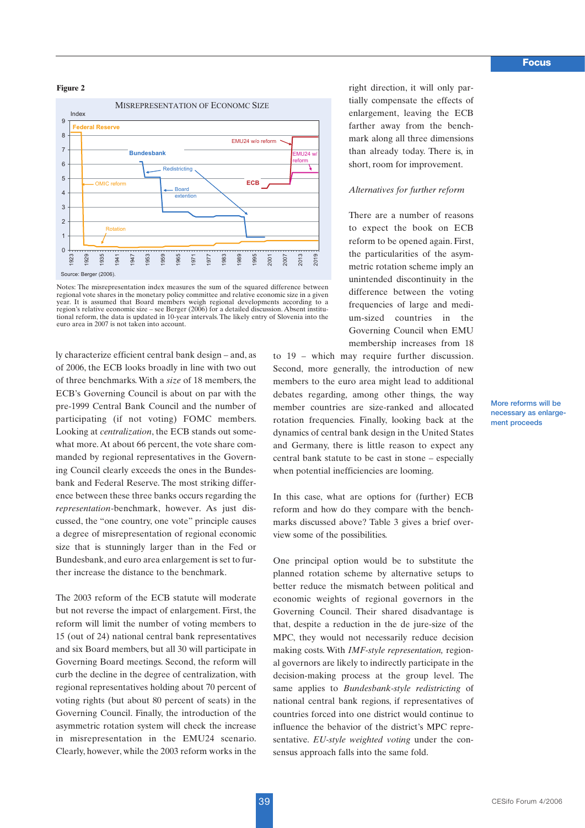## **Figure 2**



Notes: The misrepresentation index measures the sum of the squared difference between regional vote shares in the monetary policy committee and relative economic size in a given year. It is assumed that Board members weigh regional developments according to a region's relative economic size – see Berger (2006) for a detailed discussion. Absent institutional reform, the data is updated in 10-year intervals. The likely entry of Slovenia into the euro area in 2007 is not taken into account.

ly characterize efficient central bank design – and, as of 2006, the ECB looks broadly in line with two out of three benchmarks. With a *size* of 18 members, the ECB's Governing Council is about on par with the pre-1999 Central Bank Council and the number of participating (if not voting) FOMC members. Looking at *centralization*, the ECB stands out somewhat more. At about 66 percent, the vote share commanded by regional representatives in the Governing Council clearly exceeds the ones in the Bundesbank and Federal Reserve. The most striking difference between these three banks occurs regarding the *representation*-benchmark, however. As just discussed, the "one country, one vote" principle causes a degree of misrepresentation of regional economic size that is stunningly larger than in the Fed or Bundesbank, and euro area enlargement is set to further increase the distance to the benchmark.

The 2003 reform of the ECB statute will moderate but not reverse the impact of enlargement. First, the reform will limit the number of voting members to 15 (out of 24) national central bank representatives and six Board members, but all 30 will participate in Governing Board meetings. Second, the reform will curb the decline in the degree of centralization, with regional representatives holding about 70 percent of voting rights (but about 80 percent of seats) in the Governing Council. Finally, the introduction of the asymmetric rotation system will check the increase in misrepresentation in the EMU24 scenario. Clearly, however, while the 2003 reform works in the

right direction, it will only partially compensate the effects of enlargement, leaving the ECB farther away from the benchmark along all three dimensions than already today. There is, in short, room for improvement.

## *Alternatives for further reform*

There are a number of reasons to expect the book on ECB reform to be opened again. First, the particularities of the asymmetric rotation scheme imply an unintended discontinuity in the difference between the voting frequencies of large and medium-sized countries in the Governing Council when EMU membership increases from 18

to 19 – which may require further discussion. Second, more generally, the introduction of new members to the euro area might lead to additional debates regarding, among other things, the way member countries are size-ranked and allocated rotation frequencies. Finally, looking back at the dynamics of central bank design in the United States and Germany, there is little reason to expect any central bank statute to be cast in stone – especially when potential inefficiencies are looming.

In this case, what are options for (further) ECB reform and how do they compare with the benchmarks discussed above? Table 3 gives a brief overview some of the possibilities.

One principal option would be to substitute the planned rotation scheme by alternative setups to better reduce the mismatch between political and economic weights of regional governors in the Governing Council. Their shared disadvantage is that, despite a reduction in the de jure-size of the MPC, they would not necessarily reduce decision making costs. With *IMF-style representation,* regional governors are likely to indirectly participate in the decision-making process at the group level. The same applies to *Bundesbank-style redistricting* of national central bank regions, if representatives of countries forced into one district would continue to influence the behavior of the district's MPC representative. *EU-style weighted voting* under the consensus approach falls into the same fold.

**More reforms will be necessary as enlargement proceeds**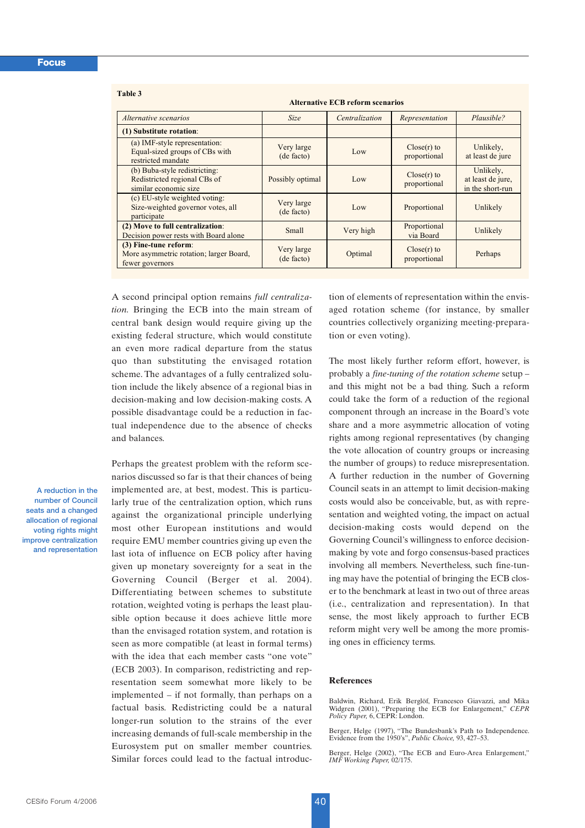#### **Table 3**

**Alternative ECB reform scenarios** 

| Alternative scenarios                                                                  | <b>Size</b>              | Centralization | Representation              | Plausible?                                         |  |
|----------------------------------------------------------------------------------------|--------------------------|----------------|-----------------------------|----------------------------------------------------|--|
| (1) Substitute rotation:                                                               |                          |                |                             |                                                    |  |
| (a) IMF-style representation:<br>Equal-sized groups of CBs with<br>restricted mandate  | Very large<br>(de facto) | Low            | Close(r) to<br>proportional | Unlikely,<br>at least de jure                      |  |
| (b) Buba-style redistricting:<br>Redistricted regional CBs of<br>similar economic size | Possibly optimal         | Low            | Close(r) to<br>proportional | Unlikely,<br>at least de jure,<br>in the short-run |  |
| (c) EU-style weighted voting:<br>Size-weighted governor votes, all<br>participate      | Very large<br>(de facto) | Low            | Proportional                | Unlikely                                           |  |
| (2) Move to full centralization:<br>Decision power rests with Board alone              | Small                    | Very high      | Proportional<br>via Board   | Unlikely                                           |  |
| (3) Fine-tune reform:<br>More asymmetric rotation; larger Board,<br>fewer governors    | Very large<br>(de facto) | Optimal        | Close(r) to<br>proportional | Perhaps                                            |  |

A second principal option remains *full centralization.* Bringing the ECB into the main stream of central bank design would require giving up the existing federal structure, which would constitute an even more radical departure from the status quo than substituting the envisaged rotation scheme. The advantages of a fully centralized solution include the likely absence of a regional bias in decision-making and low decision-making costs. A possible disadvantage could be a reduction in factual independence due to the absence of checks and balances.

**A reduction in the number of Council seats and a changed allocation of regional voting rights might improve centralization and representation**

Perhaps the greatest problem with the reform scenarios discussed so far is that their chances of being implemented are, at best, modest. This is particularly true of the centralization option, which runs against the organizational principle underlying most other European institutions and would require EMU member countries giving up even the last iota of influence on ECB policy after having given up monetary sovereignty for a seat in the Governing Council (Berger et al. 2004). Differentiating between schemes to substitute rotation, weighted voting is perhaps the least plausible option because it does achieve little more than the envisaged rotation system, and rotation is seen as more compatible (at least in formal terms) with the idea that each member casts "one vote" (ECB 2003). In comparison, redistricting and representation seem somewhat more likely to be implemented – if not formally, than perhaps on a factual basis. Redistricting could be a natural longer-run solution to the strains of the ever increasing demands of full-scale membership in the Eurosystem put on smaller member countries. Similar forces could lead to the factual introduction of elements of representation within the envisaged rotation scheme (for instance, by smaller countries collectively organizing meeting-preparation or even voting).

The most likely further reform effort, however, is probably a *fine-tuning of the rotation scheme* setup – and this might not be a bad thing. Such a reform could take the form of a reduction of the regional component through an increase in the Board's vote share and a more asymmetric allocation of voting rights among regional representatives (by changing the vote allocation of country groups or increasing the number of groups) to reduce misrepresentation. A further reduction in the number of Governing Council seats in an attempt to limit decision-making costs would also be conceivable, but, as with representation and weighted voting, the impact on actual decision-making costs would depend on the Governing Council's willingness to enforce decisionmaking by vote and forgo consensus-based practices involving all members. Nevertheless, such fine-tuning may have the potential of bringing the ECB closer to the benchmark at least in two out of three areas (i.e., centralization and representation). In that sense, the most likely approach to further ECB reform might very well be among the more promising ones in efficiency terms.

## **References**

Baldwin, Richard, Erik Berglöf, Francesco Giavazzi, and Mika Widgren (2001), "Preparing the ECB for Enlargement," *CEPR Policy Paper,* 6, CEPR: London.

Berger, Helge (1997), "The Bundesbank's Path to Independence. Evidence from the 1950's", *Public Choice,* 93, 427–53.

Berger, Helge (2002), "The ECB and Euro-Area Enlargement," *IMF Working Paper,* 02/175.